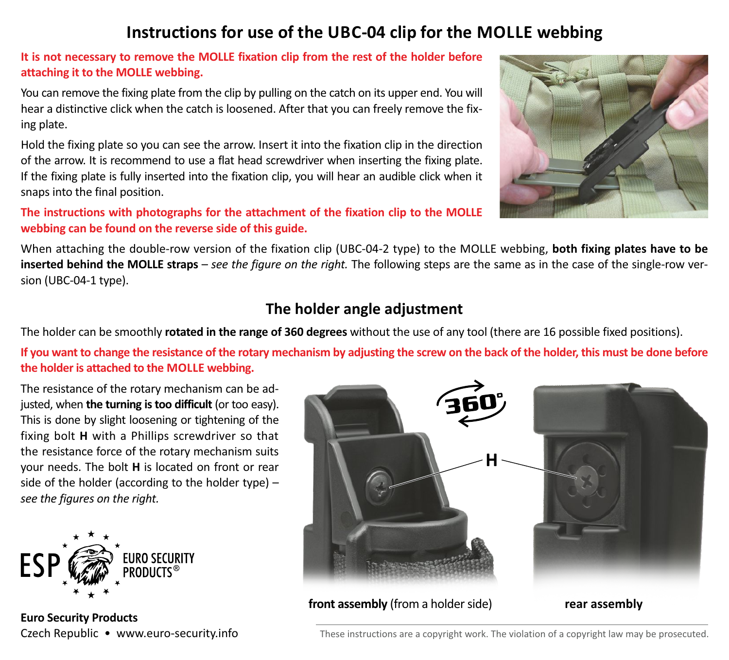## **Instructions for use of the UBC-04 clip for the MOLLE webbing**

**It is not necessary to remove the MOLLE fixation clip from the rest of the holder before attaching it to the MOLLE webbing.**

You can remove the fixing plate from the clip by pulling on the catch on its upper end. You will hear a distinctive click when the catch is loosened. After that you can freely remove the fixing plate.

Hold the fixing plate so you can see the arrow. Insert it into the fixation clip in the direction of the arrow. It is recommend to use a flat head screwdriver when inserting the fixing plate. If the fixing plate is fully inserted into the fixation clip, you will hear an audible click when it snaps into the final position.

**The instructions with photographs for the attachment of the fixation clip to the MOLLE webbing can be found on the reverse side of this guide.**



When attaching the double-row version of the fixation clip (UBC-04-2 type) to the MOLLE webbing, **both fixing plates have to be inserted behind the MOLLE straps** – *see the figure on the right.* The following steps are the same as in the case of the single-row version (UBC-04-1 type).

## **The holder angle adjustment**

The holder can be smoothly **rotated in the range of 360 degrees** without the use of any tool (there are 16 possible fixed positions).

If you want to change the resistance of the rotary mechanism by adjusting the screw on the back of the holder, this must be done before **the holder is attached to the MOLLE webbing.**

The resistance of the rotary mechanism can be adjusted, when **the turning is too difficult** (or too easy). This is done by slight loosening or tightening of the fixing bolt **H** with a Phillips screwdriver so that the resistance force of the rotary mechanism suits your needs. The bolt **H** is located on front or rear side of the holder (according to the holder type) – *see the figures on the right.*



**Euro Security Products**



Czech Republic • www.euro-security.info These instructions are a copyright work. The violation of a copyright law may be prosecuted.